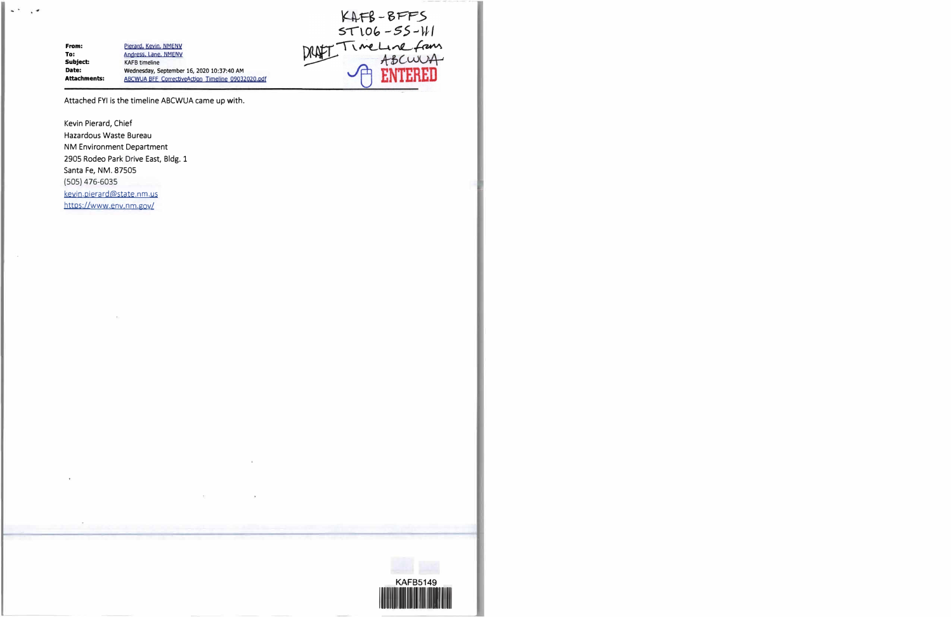**From: To: Subject: Date: Attachments:**  Pierard, Kevin. NMENV Andress, Lane, NMENV **KAFB timeline Wednesday, September 16, 2020 10:37:40 AM**  ABCWUA BFF CorrectiveAction Timeline 09032020.pdf

KAFB-BFFS<br>ST106-SS-WI<br>TimeLine from<br>HBCWUA

Attached FYI is the timeline ABCWUA came up with.

Kevin Pierard, Chief Hazardous Waste Bureau NM Environment Department 2905 Rodeo Park Drive East, Bldg. 1 Santa Fe, NM. 87505 (SOS) 476-6035 keyin.pierard@state.nm.us https://www.env.nm.gov/

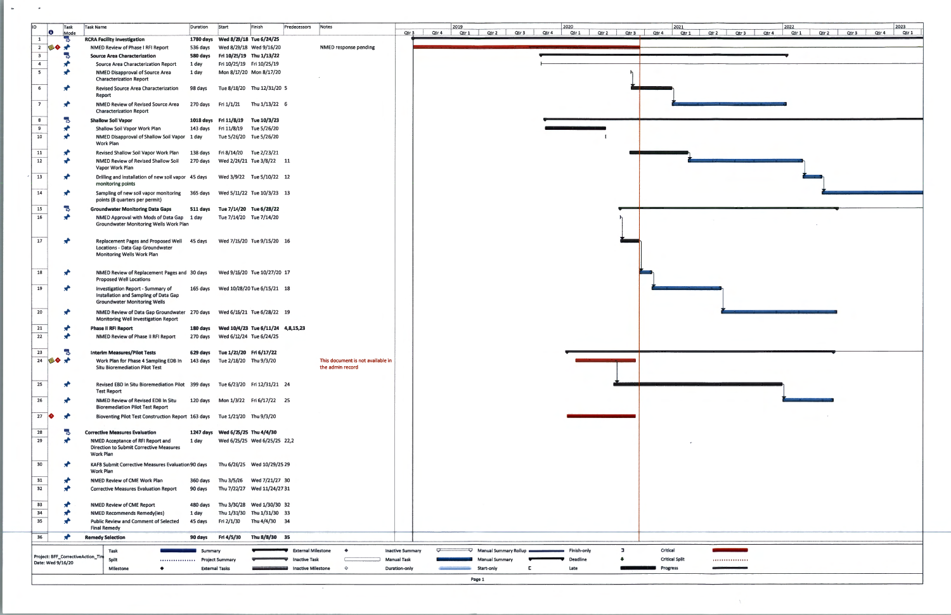|         |                                   | 2021 |                  |                  |       | 2022  |       |       |       | 2023  |
|---------|-----------------------------------|------|------------------|------------------|-------|-------|-------|-------|-------|-------|
| Qtr 3   | Qtr 4                             | Qtr1 | Qtr <sub>2</sub> | Qtr <sub>3</sub> | Qtr 4 | Qtr 1 | Qtr 2 | Qtr 3 | Qtr 4 | Qtr 1 |
|         |                                   |      |                  |                  |       |       |       |       |       |       |
|         |                                   |      |                  |                  |       |       |       |       |       |       |
| h       |                                   |      |                  |                  |       |       |       |       |       |       |
|         |                                   |      |                  |                  |       |       |       |       |       |       |
|         |                                   |      |                  |                  |       |       |       |       |       |       |
|         |                                   |      |                  |                  |       |       |       |       |       |       |
|         |                                   |      |                  |                  |       |       |       |       |       |       |
|         |                                   |      |                  |                  |       |       |       |       |       |       |
|         |                                   |      |                  |                  |       |       |       |       |       |       |
|         |                                   |      |                  |                  |       |       |       |       |       |       |
|         |                                   |      |                  |                  |       |       |       |       |       |       |
|         |                                   |      |                  |                  |       |       |       |       |       |       |
|         |                                   |      |                  |                  |       |       |       |       |       |       |
|         |                                   |      |                  |                  |       |       |       |       |       |       |
|         |                                   |      |                  |                  |       |       |       |       |       |       |
|         |                                   |      |                  |                  |       |       |       |       |       |       |
|         |                                   |      |                  |                  |       |       |       |       |       |       |
|         |                                   |      |                  |                  |       |       |       |       |       |       |
|         |                                   |      |                  |                  |       |       |       |       |       |       |
|         |                                   |      |                  |                  |       |       |       |       |       |       |
|         |                                   |      |                  |                  |       |       |       |       |       |       |
|         |                                   |      |                  |                  |       |       |       |       |       |       |
|         |                                   |      |                  |                  |       |       |       |       |       |       |
|         |                                   |      |                  |                  |       |       |       |       |       |       |
|         |                                   |      |                  |                  |       |       |       |       |       |       |
|         |                                   |      |                  |                  |       |       |       |       |       |       |
|         |                                   |      |                  |                  |       |       |       |       |       |       |
|         |                                   |      |                  |                  |       |       |       |       |       |       |
|         |                                   |      |                  |                  |       |       |       |       |       |       |
|         |                                   |      |                  |                  |       |       |       |       |       |       |
|         |                                   |      |                  |                  |       |       |       |       |       |       |
|         |                                   | ÷    |                  |                  |       |       |       |       |       |       |
|         |                                   |      |                  |                  |       |       |       |       |       |       |
|         |                                   |      |                  |                  |       |       |       |       |       |       |
|         |                                   |      |                  |                  |       |       |       |       |       |       |
|         |                                   |      |                  |                  |       |       |       |       |       |       |
|         |                                   |      |                  |                  |       |       |       |       |       |       |
|         |                                   |      |                  |                  |       |       |       |       |       |       |
|         |                                   |      |                  |                  |       |       |       |       |       |       |
|         |                                   |      |                  |                  |       |       |       |       |       |       |
| o,<br>ı | Critical<br><b>Critical Split</b> |      |                  |                  |       |       |       |       |       |       |
|         | Progress                          |      |                  | ,,,,,,,,,,,,,,,, |       |       |       |       |       |       |

| lıd                     | Task<br>$\bullet$<br>Mode         | Task Name |                                                                                                                 | Duration                          | Start                                                               | Finish<br>Predecessors                                 | Notes                             |                                   | Qtr 3                   | 2019<br>Qtr 4                | Qtr 1 Qtr 2 Qtr 3     | Qtr 4 | 2020<br>Qtr 1<br>Qtr 2 Qtr 3 |    | 2021<br>Qtr 4                             | 2022<br>Qtr2 Qtr3 Qtr4 | Qtr 1<br>Qtr 2 Qtr 3 | Qtr 4 | 2023<br>Qtr 1 |
|-------------------------|-----------------------------------|-----------|-----------------------------------------------------------------------------------------------------------------|-----------------------------------|---------------------------------------------------------------------|--------------------------------------------------------|-----------------------------------|-----------------------------------|-------------------------|------------------------------|-----------------------|-------|------------------------------|----|-------------------------------------------|------------------------|----------------------|-------|---------------|
| $\mathbf{1}$            |                                   |           | <b>RCRA Facility Investigation</b>                                                                              |                                   | 1780 days Wed 8/29/18 Tue 6/24/25                                   |                                                        |                                   |                                   |                         |                              |                       |       |                              |    | Qtr 1                                     |                        |                      |       |               |
|                         | $2 \otimes 2 \otimes$             |           | NMED Review of Phase I RFI Report                                                                               |                                   |                                                                     | 536 days Wed 8/29/18 Wed 9/16/20                       |                                   | NMED response pending             |                         |                              |                       |       |                              |    |                                           |                        |                      |       |               |
| $\overline{\mathbf{3}}$ | 马                                 |           | <b>Source Area Characterization</b>                                                                             |                                   | 580 days Fri 10/25/19 Thu 1/13/22                                   |                                                        |                                   |                                   |                         |                              |                       |       |                              |    |                                           |                        |                      |       |               |
| $\overline{4}$          |                                   |           | <b>Source Area Characterization Report</b>                                                                      | 1 day                             | Fri 10/25/19 Fri 10/25/19                                           |                                                        |                                   |                                   |                         |                              |                       |       |                              |    |                                           |                        |                      |       |               |
| 5                       |                                   |           | <b>NMED Disapproval of Source Area</b><br><b>Characterization Report</b>                                        | 1 day                             |                                                                     | Mon 8/17/20 Mon 8/17/20                                |                                   |                                   |                         |                              |                       |       |                              |    |                                           |                        |                      |       |               |
| 6                       |                                   |           | <b>Revised Source Area Characterization</b>                                                                     | 98 days                           |                                                                     | Tue 8/18/20 Thu 12/31/20 5                             |                                   |                                   |                         |                              |                       |       |                              |    |                                           |                        |                      |       |               |
|                         |                                   |           | Report                                                                                                          |                                   |                                                                     |                                                        |                                   |                                   |                         |                              |                       |       |                              |    |                                           |                        |                      |       |               |
| $\overline{7}$          |                                   |           | NMED Review of Revised Source Area                                                                              |                                   |                                                                     | 270 days Fri 1/1/21 Thu 1/13/22 6                      |                                   |                                   |                         |                              |                       |       |                              |    |                                           |                        |                      |       |               |
|                         |                                   |           | <b>Characterization Report</b>                                                                                  |                                   |                                                                     |                                                        |                                   |                                   |                         |                              |                       |       |                              |    |                                           |                        |                      |       |               |
| 8                       | Ъ                                 |           | <b>Shallow Soil Vapor</b>                                                                                       |                                   | 1018 days Fri 11/8/19 Tue 10/3/23                                   |                                                        |                                   |                                   |                         |                              |                       |       |                              |    |                                           |                        |                      |       |               |
| 9                       |                                   |           | Shallow Soil Vapor Work Plan                                                                                    |                                   | 143 days Fri 11/8/19 Tue 5/26/20                                    |                                                        |                                   |                                   |                         |                              |                       |       |                              |    |                                           |                        |                      |       |               |
| 10                      |                                   |           | NMED Disapproval of Shallow Soil Vapor 1 day<br>Work Plan                                                       |                                   |                                                                     | Tue 5/26/20 Tue 5/26/20                                |                                   |                                   |                         |                              |                       |       |                              |    |                                           |                        |                      |       |               |
| 11                      |                                   |           | Revised Shallow Soil Vapor Work Plan                                                                            |                                   | 138 days Fri 8/14/20 Tue 2/23/21                                    |                                                        |                                   |                                   |                         |                              |                       |       |                              |    |                                           |                        |                      |       |               |
| 12                      |                                   |           | NMED Review of Revised Shallow Soil                                                                             |                                   |                                                                     | 270 days    Ved 2/24/21    Tue 3/8/22    11            |                                   |                                   |                         |                              |                       |       |                              |    |                                           |                        |                      |       |               |
|                         |                                   |           | Vapor Work Plan                                                                                                 |                                   |                                                                     |                                                        |                                   |                                   |                         |                              |                       |       |                              |    |                                           |                        |                      |       |               |
| 13                      |                                   |           | Drilling and installation of new soil vapor 45 days Wed 3/9/22 Tue 5/10/22 12                                   |                                   |                                                                     |                                                        |                                   |                                   |                         |                              |                       |       |                              |    |                                           |                        |                      |       |               |
|                         |                                   |           | monitoring points                                                                                               |                                   |                                                                     |                                                        |                                   |                                   |                         |                              |                       |       |                              |    |                                           |                        |                      |       |               |
| 14                      |                                   |           | Sampling of new soil vapor monitoring 365 days Wed 5/11/22 Tue 10/3/23 13<br>points (8 quarters per permit)     |                                   |                                                                     |                                                        |                                   |                                   |                         |                              |                       |       |                              |    |                                           |                        |                      |       |               |
| 15                      | Ъ                                 |           | <b>Groundwater Monitoring Data Gaps</b>                                                                         |                                   | 511 days Tue 7/14/20 Tue 6/28/22                                    |                                                        |                                   |                                   |                         |                              |                       |       |                              |    |                                           |                        |                      |       |               |
| 16                      |                                   |           | NMED Approval with Mods of Data Gap 1 day                                                                       |                                   | Tue 7/14/20 Tue 7/14/20                                             |                                                        |                                   |                                   |                         |                              |                       |       |                              |    |                                           |                        |                      |       |               |
|                         |                                   |           | <b>Groundwater Monitoring Wells Work Plan</b>                                                                   |                                   |                                                                     |                                                        |                                   |                                   |                         |                              |                       |       |                              |    |                                           |                        |                      |       |               |
|                         |                                   |           |                                                                                                                 |                                   |                                                                     |                                                        |                                   |                                   |                         |                              |                       |       |                              |    |                                           |                        |                      |       |               |
| 17                      | $\star$                           |           | Replacement Pages and Proposed Well 45 days                                                                     |                                   |                                                                     | Wed 7/15/20 Tue 9/15/20 16                             |                                   |                                   |                         |                              |                       |       |                              |    |                                           |                        |                      |       |               |
|                         |                                   |           | Locations - Data Gap Groundwater<br><b>Monitoring Wells Work Plan</b>                                           |                                   |                                                                     |                                                        |                                   |                                   |                         |                              |                       |       |                              |    |                                           |                        |                      |       |               |
|                         |                                   |           |                                                                                                                 |                                   |                                                                     |                                                        |                                   |                                   |                         |                              |                       |       |                              |    |                                           |                        |                      |       |               |
| 18                      | ₩                                 |           | NMED Review of Replacement Pages and 30 days                                                                    |                                   |                                                                     | Wed 9/16/20 Tue 10/27/20 17                            |                                   |                                   |                         |                              |                       |       |                              |    |                                           |                        |                      |       |               |
|                         |                                   |           | <b>Proposed Well Locations</b>                                                                                  |                                   |                                                                     |                                                        |                                   |                                   |                         |                              |                       |       |                              |    |                                           |                        |                      |       |               |
| 19                      | ⊀                                 |           | Investigation Report - Summary of                                                                               |                                   |                                                                     | 165 days Wed 10/28/20 Tue 6/15/21 18                   |                                   |                                   |                         |                              |                       |       |                              |    |                                           |                        |                      |       |               |
|                         |                                   |           | Installation and Sampling of Data Gap<br><b>Groundwater Monitoring Wells</b>                                    |                                   |                                                                     |                                                        |                                   |                                   |                         |                              |                       |       |                              |    |                                           |                        |                      |       |               |
| 20                      |                                   |           |                                                                                                                 |                                   |                                                                     |                                                        |                                   |                                   |                         |                              |                       |       |                              |    |                                           |                        |                      |       |               |
|                         |                                   |           | NMED Review of Data Gap Groundwater 270 days Wed 6/16/21 Tue 6/28/22 19<br>Monitoring Well Investigation Report |                                   |                                                                     |                                                        |                                   |                                   |                         |                              |                       |       |                              |    |                                           |                        |                      |       |               |
| 21                      |                                   |           | Phase II RFI Report                                                                                             |                                   |                                                                     | 180 days Wed 10/4/23 Tue 6/11/24 4,8,15,23             |                                   |                                   |                         |                              |                       |       |                              |    |                                           |                        |                      |       |               |
| 22                      |                                   |           | NMED Review of Phase II RFI Report                                                                              |                                   | 270 days    Ved 6/12/24    Tue 6/24/25                              |                                                        |                                   |                                   |                         |                              |                       |       |                              |    |                                           |                        |                      |       |               |
|                         |                                   |           |                                                                                                                 |                                   |                                                                     |                                                        |                                   |                                   |                         |                              |                       |       |                              |    |                                           |                        |                      |       |               |
| 23                      | Ъ<br>24 $\otimes$ $\rightarrow$   |           | <b>Interim Measures/Pilot Tests</b><br>Work Plan for Phase 4 Sampling EDB In                                    |                                   | 629 days Tue 1/21/20 Fri 6/17/22<br>143 days Tue 2/18/20 Thu 9/3/20 |                                                        |                                   | This document is not available in |                         |                              |                       |       |                              |    |                                           |                        |                      |       |               |
|                         |                                   |           | <b>Situ Bioremediation Pilot Test</b>                                                                           |                                   |                                                                     |                                                        |                                   | the admin record                  |                         |                              |                       |       |                              |    |                                           |                        |                      |       |               |
|                         |                                   |           |                                                                                                                 |                                   |                                                                     |                                                        |                                   |                                   |                         |                              |                       |       |                              |    |                                           |                        |                      |       |               |
| 25                      | $\blacktriangleright$             |           | Revised EBD in Situ Bioremediation Pilot 399 days Tue 6/23/20 Fri 12/31/21 24                                   |                                   |                                                                     |                                                        |                                   |                                   |                         |                              |                       |       |                              |    |                                           |                        |                      |       |               |
|                         |                                   |           | <b>Test Report</b>                                                                                              |                                   |                                                                     |                                                        |                                   |                                   |                         |                              |                       |       |                              |    |                                           |                        |                      |       |               |
| 26                      |                                   |           | NMED Review of Revised EDB In Situ<br><b>Bioremediation Pilot Test Report</b>                                   |                                   |                                                                     | 120 days    Mon 1/3/22    Fri 6/17/22    25            |                                   |                                   |                         |                              |                       |       |                              |    |                                           |                        |                      |       |               |
|                         | 27 $\bullet$                      |           | Bioventing Pilot Test Construction Report 163 days Tue 1/21/20 Thu 9/3/20                                       |                                   |                                                                     |                                                        |                                   |                                   |                         |                              |                       |       |                              |    |                                           |                        |                      |       |               |
|                         |                                   |           |                                                                                                                 |                                   |                                                                     |                                                        |                                   |                                   |                         |                              |                       |       |                              |    |                                           |                        |                      |       |               |
| 28                      |                                   |           | <b>Corrective Measures Evaluation</b>                                                                           |                                   | 1247 days Wed 6/25/25 Thu 4/4/30                                    |                                                        |                                   |                                   |                         |                              |                       |       |                              |    |                                           |                        |                      |       |               |
| 29                      |                                   |           | NMED Acceptance of RFI Report and                                                                               | 1 day                             |                                                                     | Wed 6/25/25 Wed 6/25/25 22,2                           |                                   |                                   |                         |                              |                       |       |                              |    |                                           |                        |                      |       |               |
|                         |                                   | Work Plan | <b>Direction to Submit Corrective Measures</b>                                                                  |                                   |                                                                     |                                                        |                                   |                                   |                         |                              |                       |       |                              |    |                                           |                        |                      |       |               |
| 30                      | $\mathbf{x}$                      |           | KAFB Submit Corrective Measures Evaluation 90 days                                                              |                                   |                                                                     | Thu 6/26/25 Wed 10/29/25 29                            |                                   |                                   |                         |                              |                       |       |                              |    |                                           |                        |                      |       |               |
|                         |                                   | Work Plan |                                                                                                                 |                                   |                                                                     |                                                        |                                   |                                   |                         |                              |                       |       |                              |    |                                           |                        |                      |       |               |
| 31                      |                                   |           | NMED Review of CME Work Plan                                                                                    |                                   |                                                                     | 360 days Thu 3/5/26 Wed 7/21/27 30                     |                                   |                                   |                         |                              |                       |       |                              |    |                                           |                        |                      |       |               |
| 32                      |                                   |           | <b>Corrective Measures Evaluation Report</b>                                                                    | 90 days                           |                                                                     | Thu 7/22/27 Wed 11/24/2731                             |                                   |                                   |                         |                              |                       |       |                              |    |                                           |                        |                      |       |               |
|                         |                                   |           |                                                                                                                 |                                   |                                                                     |                                                        |                                   |                                   |                         |                              |                       |       |                              |    |                                           |                        |                      |       |               |
| 33<br>34                |                                   |           | <b>NMED Review of CME Report</b>                                                                                | 480 days                          |                                                                     | Thu 3/30/28 Wed 1/30/30 32                             |                                   |                                   |                         |                              |                       |       |                              |    |                                           |                        |                      |       |               |
| 35                      |                                   |           | <b>NMED Recommends Remedy(ies)</b><br><b>Public Review and Comment of Selected</b>                              | 1 day<br>45 days                  |                                                                     | Thu 1/31/30 Thu 1/31/30 33<br>Fri 2/1/30 Thu 4/4/30 34 |                                   |                                   |                         |                              |                       |       |                              |    |                                           |                        |                      |       |               |
|                         |                                   |           | <b>Final Remedy</b>                                                                                             |                                   |                                                                     |                                                        |                                   |                                   |                         |                              |                       |       |                              |    |                                           |                        |                      |       |               |
| 36                      | $\mathbf{r}$                      |           | <b>Remedy Selection</b>                                                                                         | 90 days                           |                                                                     | Fri 4/5/30 Thu 8/8/30 35                               |                                   |                                   |                         |                              |                       |       |                              |    |                                           |                        |                      |       |               |
|                         |                                   |           | Task                                                                                                            | Summary                           |                                                                     |                                                        | <b>External Milestone</b>         | $\bullet$                         | <b>Inactive Summary</b> |                              | Wanual Summary Rollup |       | <b>Finish-only</b>           | л. | Critical                                  |                        |                      |       |               |
|                         | Project: BFF_CorrectiveAction_Tir |           | Split                                                                                                           | manufacturers and Project Summary |                                                                     |                                                        | <b>Inactive Task</b>              |                                   | <b>Manual Task</b>      |                              | Manual Summary        |       | Deadline                     |    | <b>Critical Split</b><br>,,,,,,,,,,,,,,,, |                        |                      |       |               |
|                         | Date: Wed 9/16/20                 |           | Milestone<br>$\bullet$                                                                                          |                                   | <b>External Tasks</b>                                               |                                                        | <b>Minimal Inactive Milestone</b> | ◈                                 | Duration-only           | <b>Start-only</b> Start-only |                       | Е.    | Late                         |    | Progress                                  |                        |                      |       |               |
|                         |                                   |           |                                                                                                                 |                                   |                                                                     |                                                        |                                   |                                   |                         |                              | Page 1                |       |                              |    |                                           |                        |                      |       |               |

 $\mathbf{r}$ 

 $\sim 100$